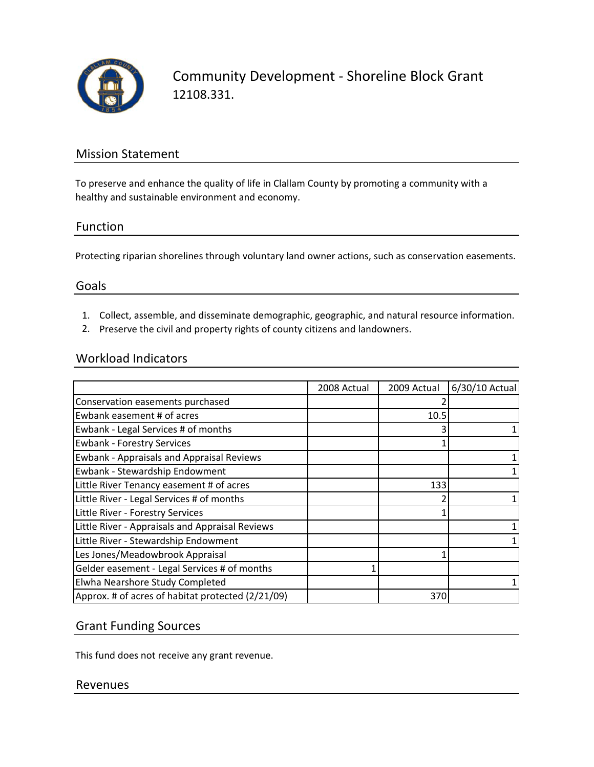

Community Development ‐ Shoreline Block Grant 12108.331.

### Mission Statement

To preserve and enhance the quality of life in Clallam County by promoting a community with a healthy and sustainable environment and economy.

### Function

Protecting riparian shorelines through voluntary land owner actions, such as conservation easements.

#### Goals

- 1. Collect, assemble, and disseminate demographic, geographic, and natural resource information.
- 2. Preserve the civil and property rights of county citizens and landowners.

### Workload Indicators

|                                                   | 2008 Actual | 2009 Actual | 6/30/10 Actual |
|---------------------------------------------------|-------------|-------------|----------------|
| Conservation easements purchased                  |             |             |                |
| Ewbank easement # of acres                        |             | 10.5        |                |
| Ewbank - Legal Services # of months               |             |             |                |
| <b>Ewbank - Forestry Services</b>                 |             |             |                |
| <b>Ewbank - Appraisals and Appraisal Reviews</b>  |             |             |                |
| Ewbank - Stewardship Endowment                    |             |             |                |
| Little River Tenancy easement # of acres          |             | 133         |                |
| Little River - Legal Services # of months         |             |             |                |
| Little River - Forestry Services                  |             |             |                |
| Little River - Appraisals and Appraisal Reviews   |             |             |                |
| Little River - Stewardship Endowment              |             |             |                |
| Les Jones/Meadowbrook Appraisal                   |             |             |                |
| Gelder easement - Legal Services # of months      |             |             |                |
| Elwha Nearshore Study Completed                   |             |             |                |
| Approx. # of acres of habitat protected (2/21/09) |             | 370         |                |

### Grant Funding Sources

This fund does not receive any grant revenue.

#### Revenues